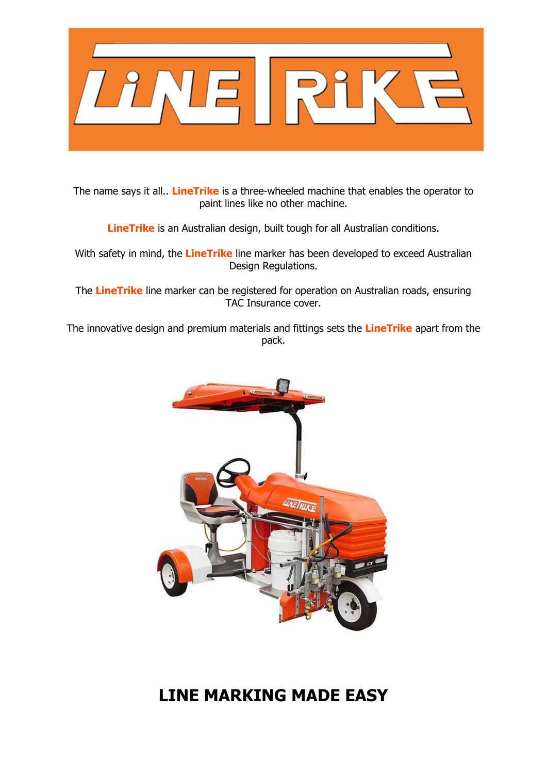

The name says it all.. **LineTrike** is a three-wheeled machine that enables the operator to paint lines like no other machine.

**LineTrike** is an Australian design, built tough for all Australian conditions.

With safety in mind, the **LineTrike** line marker has been developed to exceed Australian Design Regulations.

The **LineTrike** line marker can be registered for operation on Australian roads, ensuring TAC Insurance cover.

The innovative design and premium materials and fittings sets the **LineTrike** apart from the pack.



## **LINE MARKING MADE EASY**